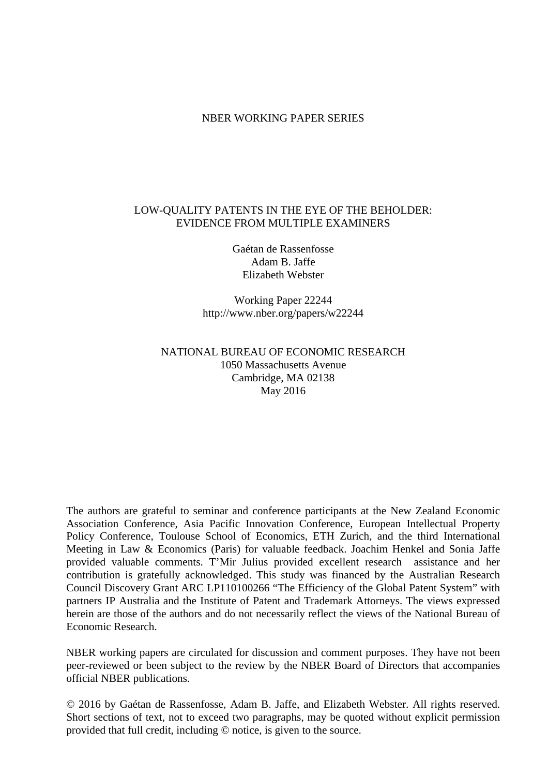# NBER WORKING PAPER SERIES

# LOW-QUALITY PATENTS IN THE EYE OF THE BEHOLDER: EVIDENCE FROM MULTIPLE EXAMINERS

Gaétan de Rassenfosse Adam B. Jaffe Elizabeth Webster

Working Paper 22244 http://www.nber.org/papers/w22244

# NATIONAL BUREAU OF ECONOMIC RESEARCH 1050 Massachusetts Avenue Cambridge, MA 02138 May 2016

The authors are grateful to seminar and conference participants at the New Zealand Economic Association Conference, Asia Pacific Innovation Conference, European Intellectual Property Policy Conference, Toulouse School of Economics, ETH Zurich, and the third International Meeting in Law & Economics (Paris) for valuable feedback. Joachim Henkel and Sonia Jaffe provided valuable comments. T'Mir Julius provided excellent research assistance and her contribution is gratefully acknowledged. This study was financed by the Australian Research Council Discovery Grant ARC LP110100266 "The Efficiency of the Global Patent System" with partners IP Australia and the Institute of Patent and Trademark Attorneys. The views expressed herein are those of the authors and do not necessarily reflect the views of the National Bureau of Economic Research.

NBER working papers are circulated for discussion and comment purposes. They have not been peer-reviewed or been subject to the review by the NBER Board of Directors that accompanies official NBER publications.

© 2016 by Gaétan de Rassenfosse, Adam B. Jaffe, and Elizabeth Webster. All rights reserved. Short sections of text, not to exceed two paragraphs, may be quoted without explicit permission provided that full credit, including © notice, is given to the source.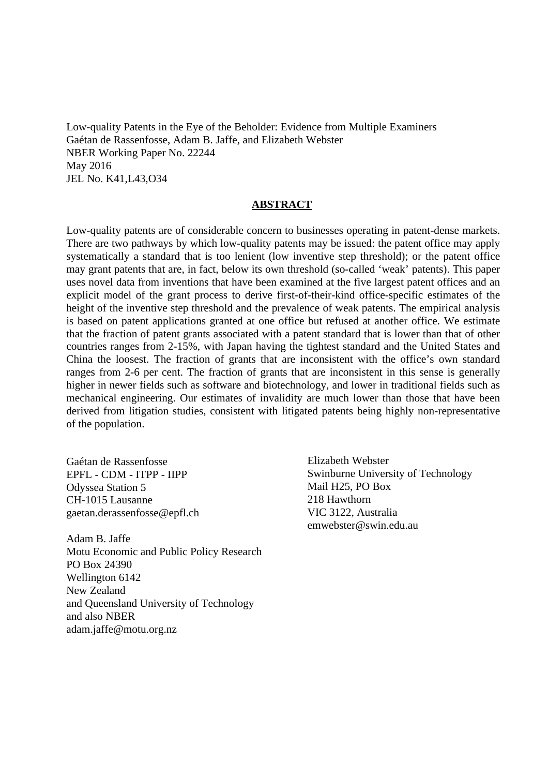Low-quality Patents in the Eye of the Beholder: Evidence from Multiple Examiners Gaétan de Rassenfosse, Adam B. Jaffe, and Elizabeth Webster NBER Working Paper No. 22244 May 2016 JEL No. K41,L43,O34

#### **ABSTRACT**

Low-quality patents are of considerable concern to businesses operating in patent-dense markets. There are two pathways by which low-quality patents may be issued: the patent office may apply systematically a standard that is too lenient (low inventive step threshold); or the patent office may grant patents that are, in fact, below its own threshold (so-called 'weak' patents). This paper uses novel data from inventions that have been examined at the five largest patent offices and an explicit model of the grant process to derive first-of-their-kind office-specific estimates of the height of the inventive step threshold and the prevalence of weak patents. The empirical analysis is based on patent applications granted at one office but refused at another office. We estimate that the fraction of patent grants associated with a patent standard that is lower than that of other countries ranges from 2-15%, with Japan having the tightest standard and the United States and China the loosest. The fraction of grants that are inconsistent with the office's own standard ranges from 2-6 per cent. The fraction of grants that are inconsistent in this sense is generally higher in newer fields such as software and biotechnology, and lower in traditional fields such as mechanical engineering. Our estimates of invalidity are much lower than those that have been derived from litigation studies, consistent with litigated patents being highly non-representative of the population.

Gaétan de Rassenfosse EPFL - CDM - ITPP - IIPP Odyssea Station 5 CH-1015 Lausanne gaetan.derassenfosse@epfl.ch

Adam B. Jaffe Motu Economic and Public Policy Research PO Box 24390 Wellington 6142 New Zealand and Queensland University of Technology and also NBER adam.jaffe@motu.org.nz

Elizabeth Webster Swinburne University of Technology Mail H25, PO Box 218 Hawthorn VIC 3122, Australia emwebster@swin.edu.au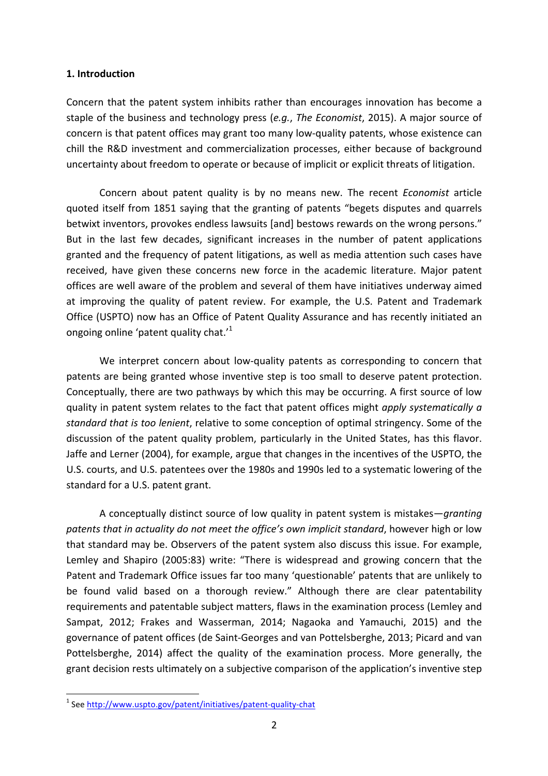## **1. Introduction**

Concern that the patent system inhibits rather than encourages innovation has become a staple of the business and technology press (*e.g., The Economist*, 2015). A major source of concern is that patent offices may grant too many low-quality patents, whose existence can chill the R&D investment and commercialization processes, either because of background uncertainty about freedom to operate or because of implicit or explicit threats of litigation.

Concern about patent quality is by no means new. The recent *Economist* article quoted itself from 1851 saying that the granting of patents "begets disputes and quarrels betwixt inventors, provokes endless lawsuits [and] bestows rewards on the wrong persons." But in the last few decades, significant increases in the number of patent applications granted and the frequency of patent litigations, as well as media attention such cases have received, have given these concerns new force in the academic literature. Major patent offices are well aware of the problem and several of them have initiatives underway aimed at improving the quality of patent review. For example, the U.S. Patent and Trademark Office (USPTO) now has an Office of Patent Quality Assurance and has recently initiated an ongoing online 'patent quality chat.'<sup>1</sup>

We interpret concern about low-quality patents as corresponding to concern that patents are being granted whose inventive step is too small to deserve patent protection. Conceptually, there are two pathways by which this may be occurring. A first source of low quality in patent system relates to the fact that patent offices might *apply systematically a standard that is too lenient*, relative to some conception of optimal stringency. Some of the discussion of the patent quality problem, particularly in the United States, has this flavor. Jaffe and Lerner (2004), for example, argue that changes in the incentives of the USPTO, the U.S. courts, and U.S. patentees over the 1980s and 1990s led to a systematic lowering of the standard for a U.S. patent grant.

A conceptually distinct source of low quality in patent system is mistakes—*granting* patents that in actuality do not meet the office's own implicit standard, however high or low that standard may be. Observers of the patent system also discuss this issue. For example, Lemley and Shapiro (2005:83) write: "There is widespread and growing concern that the Patent and Trademark Office issues far too many 'questionable' patents that are unlikely to be found valid based on a thorough review." Although there are clear patentability requirements and patentable subject matters, flaws in the examination process (Lemley and Sampat, 2012; Frakes and Wasserman, 2014; Nagaoka and Yamauchi, 2015) and the governance of patent offices (de Saint-Georges and van Pottelsberghe, 2013; Picard and van Pottelsberghe, 2014) affect the quality of the examination process. More generally, the grant decision rests ultimately on a subjective comparison of the application's inventive step

<sup>&</sup>lt;sup>1</sup> See http://www.uspto.gov/patent/initiatives/patent-quality-chat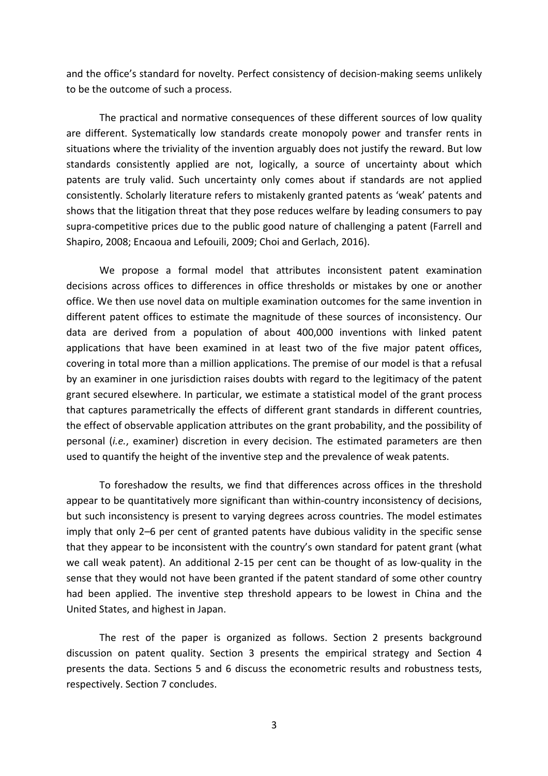and the office's standard for novelty. Perfect consistency of decision-making seems unlikely to be the outcome of such a process.

The practical and normative consequences of these different sources of low quality are different. Systematically low standards create monopoly power and transfer rents in situations where the triviality of the invention arguably does not justify the reward. But low standards consistently applied are not, logically, a source of uncertainty about which patents are truly valid. Such uncertainty only comes about if standards are not applied consistently. Scholarly literature refers to mistakenly granted patents as 'weak' patents and shows that the litigation threat that they pose reduces welfare by leading consumers to pay supra-competitive prices due to the public good nature of challenging a patent (Farrell and Shapiro, 2008; Encaoua and Lefouili, 2009; Choi and Gerlach, 2016).

We propose a formal model that attributes inconsistent patent examination decisions across offices to differences in office thresholds or mistakes by one or another office. We then use novel data on multiple examination outcomes for the same invention in different patent offices to estimate the magnitude of these sources of inconsistency. Our data are derived from a population of about 400,000 inventions with linked patent applications that have been examined in at least two of the five major patent offices, covering in total more than a million applications. The premise of our model is that a refusal by an examiner in one jurisdiction raises doubts with regard to the legitimacy of the patent grant secured elsewhere. In particular, we estimate a statistical model of the grant process that captures parametrically the effects of different grant standards in different countries, the effect of observable application attributes on the grant probability, and the possibility of personal *(i.e.*, examiner) discretion in every decision. The estimated parameters are then used to quantify the height of the inventive step and the prevalence of weak patents.

To foreshadow the results, we find that differences across offices in the threshold appear to be quantitatively more significant than within-country inconsistency of decisions, but such inconsistency is present to varying degrees across countries. The model estimates imply that only 2–6 per cent of granted patents have dubious validity in the specific sense that they appear to be inconsistent with the country's own standard for patent grant (what we call weak patent). An additional 2-15 per cent can be thought of as low-quality in the sense that they would not have been granted if the patent standard of some other country had been applied. The inventive step threshold appears to be lowest in China and the United States, and highest in Japan.

The rest of the paper is organized as follows. Section 2 presents background discussion on patent quality. Section 3 presents the empirical strategy and Section 4 presents the data. Sections 5 and 6 discuss the econometric results and robustness tests, respectively. Section 7 concludes.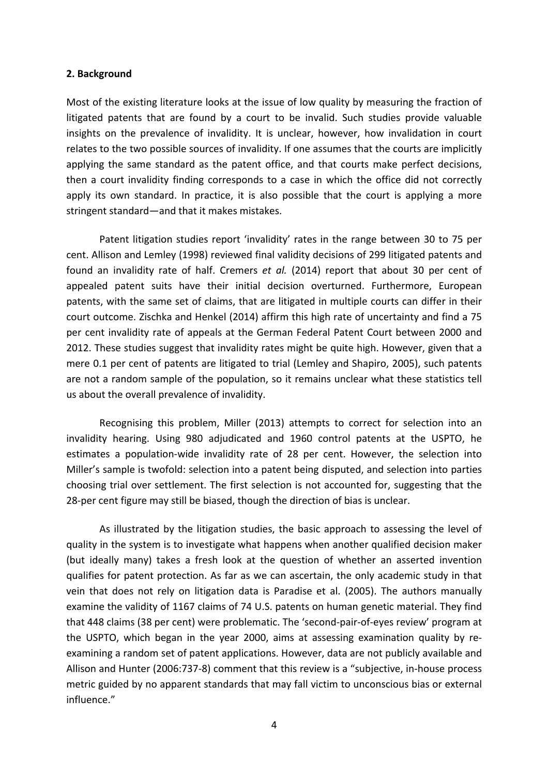## **2. Background**

Most of the existing literature looks at the issue of low quality by measuring the fraction of litigated patents that are found by a court to be invalid. Such studies provide valuable insights on the prevalence of invalidity. It is unclear, however, how invalidation in court relates to the two possible sources of invalidity. If one assumes that the courts are implicitly applying the same standard as the patent office, and that courts make perfect decisions, then a court invalidity finding corresponds to a case in which the office did not correctly apply its own standard. In practice, it is also possible that the court is applying a more stringent standard—and that it makes mistakes.

Patent litigation studies report 'invalidity' rates in the range between 30 to 75 per cent. Allison and Lemley (1998) reviewed final validity decisions of 299 litigated patents and found an invalidity rate of half. Cremers *et al.* (2014) report that about 30 per cent of appealed patent suits have their initial decision overturned. Furthermore, European patents, with the same set of claims, that are litigated in multiple courts can differ in their court outcome. Zischka and Henkel (2014) affirm this high rate of uncertainty and find a 75 per cent invalidity rate of appeals at the German Federal Patent Court between 2000 and 2012. These studies suggest that invalidity rates might be quite high. However, given that a mere 0.1 per cent of patents are litigated to trial (Lemley and Shapiro, 2005), such patents are not a random sample of the population, so it remains unclear what these statistics tell us about the overall prevalence of invalidity.

Recognising this problem, Miller (2013) attempts to correct for selection into an invalidity hearing. Using 980 adjudicated and 1960 control patents at the USPTO, he estimates a population-wide invalidity rate of 28 per cent. However, the selection into Miller's sample is twofold: selection into a patent being disputed, and selection into parties choosing trial over settlement. The first selection is not accounted for, suggesting that the 28-per cent figure may still be biased, though the direction of bias is unclear.

As illustrated by the litigation studies, the basic approach to assessing the level of quality in the system is to investigate what happens when another qualified decision maker (but ideally many) takes a fresh look at the question of whether an asserted invention qualifies for patent protection. As far as we can ascertain, the only academic study in that vein that does not rely on litigation data is Paradise et al. (2005). The authors manually examine the validity of 1167 claims of 74 U.S. patents on human genetic material. They find that 448 claims (38 per cent) were problematic. The 'second-pair-of-eyes review' program at the USPTO, which began in the year 2000, aims at assessing examination quality by reexamining a random set of patent applications. However, data are not publicly available and Allison and Hunter (2006:737-8) comment that this review is a "subjective, in-house process metric guided by no apparent standards that may fall victim to unconscious bias or external influence."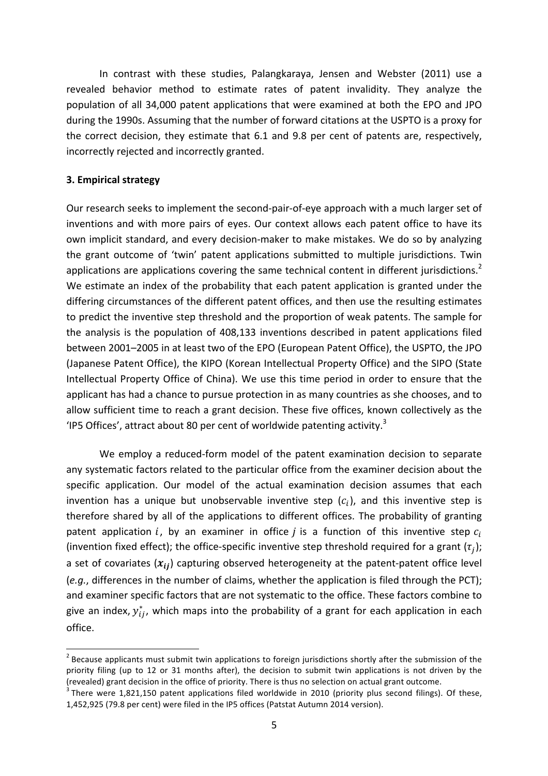In contrast with these studies, Palangkaraya, Jensen and Webster (2011) use a revealed behavior method to estimate rates of patent invalidity. They analyze the population of all 34,000 patent applications that were examined at both the EPO and JPO during the 1990s. Assuming that the number of forward citations at the USPTO is a proxy for the correct decision, they estimate that 6.1 and 9.8 per cent of patents are, respectively, incorrectly rejected and incorrectly granted.

## **3. Empirical strategy**

Our research seeks to implement the second-pair-of-eye approach with a much larger set of inventions and with more pairs of eyes. Our context allows each patent office to have its own implicit standard, and every decision-maker to make mistakes. We do so by analyzing the grant outcome of 'twin' patent applications submitted to multiple jurisdictions. Twin applications are applications covering the same technical content in different jurisdictions.<sup>2</sup> We estimate an index of the probability that each patent application is granted under the differing circumstances of the different patent offices, and then use the resulting estimates to predict the inventive step threshold and the proportion of weak patents. The sample for the analysis is the population of 408,133 inventions described in patent applications filed between 2001–2005 in at least two of the EPO (European Patent Office), the USPTO, the JPO (Japanese Patent Office), the KIPO (Korean Intellectual Property Office) and the SIPO (State Intellectual Property Office of China). We use this time period in order to ensure that the applicant has had a chance to pursue protection in as many countries as she chooses, and to allow sufficient time to reach a grant decision. These five offices, known collectively as the 'IP5 Offices', attract about 80 per cent of worldwide patenting activity. $3$ 

We employ a reduced-form model of the patent examination decision to separate any systematic factors related to the particular office from the examiner decision about the specific application. Our model of the actual examination decision assumes that each invention has a unique but unobservable inventive step  $(c_i)$ , and this inventive step is therefore shared by all of the applications to different offices. The probability of granting patent application i, by an examiner in office *j* is a function of this inventive step  $c_i$ (invention fixed effect); the office-specific inventive step threshold required for a grant  $(\tau_i)$ ; a set of covariates  $(x_{ii})$  capturing observed heterogeneity at the patent-patent office level (e.g., differences in the number of claims, whether the application is filed through the PCT); and examiner specific factors that are not systematic to the office. These factors combine to give an index,  $y_{ij}^*$ , which maps into the probability of a grant for each application in each office.

 $2^2$  Because applicants must submit twin applications to foreign jurisdictions shortly after the submission of the priority filing (up to 12 or 31 months after), the decision to submit twin applications is not driven by the

<sup>(</sup>revealed) grant decision in the office of priority. There is thus no selection on actual grant outcome.<br><sup>3</sup> There were 1,821,150 patent applications filed worldwide in 2010 (priority plus second filings). Of these, 1,452,925 (79.8 per cent) were filed in the IP5 offices (Patstat Autumn 2014 version).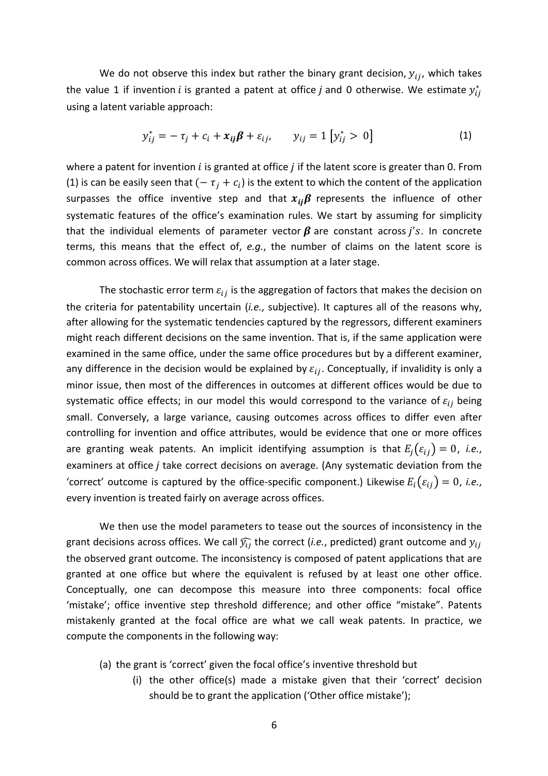We do not observe this index but rather the binary grant decision,  $y_{ij}$ , which takes the value 1 if invention i is granted a patent at office j and 0 otherwise. We estimate  $y_{ij}^*$ using a latent variable approach:

$$
y_{ij}^* = -\tau_j + c_i + x_{ij}\beta + \varepsilon_{ij}, \qquad y_{ij} = 1 [y_{ij}^* > 0]
$$
 (1)

where a patent for invention  $i$  is granted at office  $j$  if the latent score is greater than 0. From (1) is can be easily seen that  $(-\tau_i + c_i)$  is the extent to which the content of the application surpasses the office inventive step and that  $x_{ii}\beta$  represents the influence of other systematic features of the office's examination rules. We start by assuming for simplicity that the individual elements of parameter vector  $\beta$  are constant across *i's*. In concrete terms, this means that the effect of, e.g., the number of claims on the latent score is common across offices. We will relax that assumption at a later stage.

The stochastic error term  $\varepsilon_{ij}$  is the aggregation of factors that makes the decision on the criteria for patentability uncertain (*i.e.*, subjective). It captures all of the reasons why, after allowing for the systematic tendencies captured by the regressors, different examiners might reach different decisions on the same invention. That is, if the same application were examined in the same office, under the same office procedures but by a different examiner, any difference in the decision would be explained by  $\varepsilon_{ij}$ . Conceptually, if invalidity is only a minor issue, then most of the differences in outcomes at different offices would be due to systematic office effects; in our model this would correspond to the variance of  $\varepsilon_{ij}$  being small. Conversely, a large variance, causing outcomes across offices to differ even after controlling for invention and office attributes, would be evidence that one or more offices are granting weak patents. An implicit identifying assumption is that  $E_i(\varepsilon_{ii}) = 0$ , *i.e.*, examiners at office  $j$  take correct decisions on average. (Any systematic deviation from the 'correct' outcome is captured by the office-specific component.) Likewise  $E_i(\varepsilon_{ii}) = 0$ , *i.e.*, every invention is treated fairly on average across offices.

We then use the model parameters to tease out the sources of inconsistency in the grant decisions across offices. We call  $\widehat{y}_{ij}$  the correct (*i.e.*, predicted) grant outcome and  $y_{ij}$ the observed grant outcome. The inconsistency is composed of patent applications that are granted at one office but where the equivalent is refused by at least one other office. Conceptually, one can decompose this measure into three components: focal office 'mistake'; office inventive step threshold difference; and other office "mistake". Patents mistakenly granted at the focal office are what we call weak patents. In practice, we compute the components in the following way:

- (a) the grant is 'correct' given the focal office's inventive threshold but
	- (i) the other office(s) made a mistake given that their 'correct' decision should be to grant the application ('Other office mistake');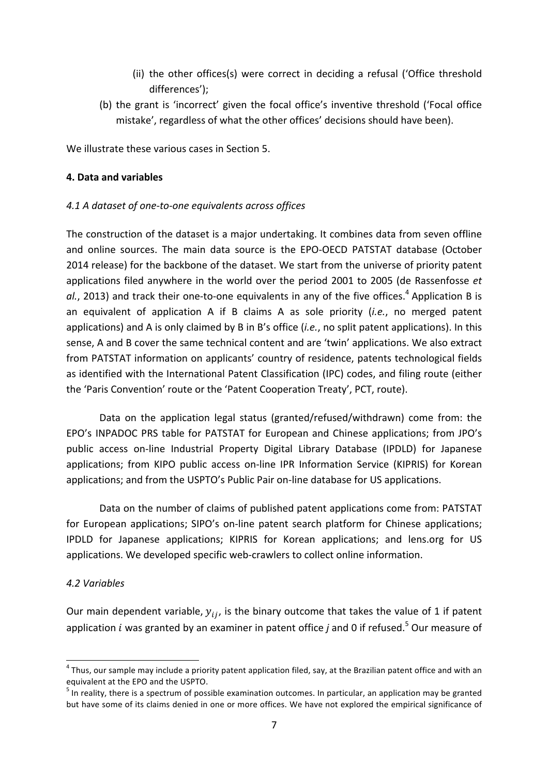- (ii) the other offices(s) were correct in deciding a refusal ('Office threshold differences');
- (b) the grant is 'incorrect' given the focal office's inventive threshold ('Focal office mistake', regardless of what the other offices' decisions should have been).

We illustrate these various cases in Section 5.

# **4. Data and variables**

## *4.1 A dataset of one-to-one equivalents across offices*

The construction of the dataset is a major undertaking. It combines data from seven offline and online sources. The main data source is the EPO-OECD PATSTAT database (October 2014 release) for the backbone of the dataset. We start from the universe of priority patent applications filed anywhere in the world over the period 2001 to 2005 (de Rassenfosse et al., 2013) and track their one-to-one equivalents in any of the five offices.<sup>4</sup> Application B is an equivalent of application A if B claims A as sole priority (*i.e.*, no merged patent applications) and A is only claimed by B in B's office (*i.e.*, no split patent applications). In this sense, A and B cover the same technical content and are 'twin' applications. We also extract from PATSTAT information on applicants' country of residence, patents technological fields as identified with the International Patent Classification (IPC) codes, and filing route (either the 'Paris Convention' route or the 'Patent Cooperation Treaty', PCT, route).

Data on the application legal status (granted/refused/withdrawn) come from: the EPO's INPADOC PRS table for PATSTAT for European and Chinese applications; from JPO's public access on-line Industrial Property Digital Library Database (IPDLD) for Japanese applications; from KIPO public access on-line IPR Information Service (KIPRIS) for Korean applications; and from the USPTO's Public Pair on-line database for US applications.

Data on the number of claims of published patent applications come from: PATSTAT for European applications; SIPO's on-line patent search platform for Chinese applications; IPDLD for Japanese applications; KIPRIS for Korean applications; and lens.org for US applications. We developed specific web-crawlers to collect online information.

## *4.2 Variables*

Our main dependent variable,  $y_{ij}$ , is the binary outcome that takes the value of 1 if patent application *i* was granted by an examiner in patent office *j* and 0 if refused.<sup>5</sup> Our measure of

 $4$  Thus, our sample may include a priority patent application filed, say, at the Brazilian patent office and with an equivalent at the EPO and the USPTO.

 $<sup>5</sup>$  In reality, there is a spectrum of possible examination outcomes. In particular, an application may be granted</sup> but have some of its claims denied in one or more offices. We have not explored the empirical significance of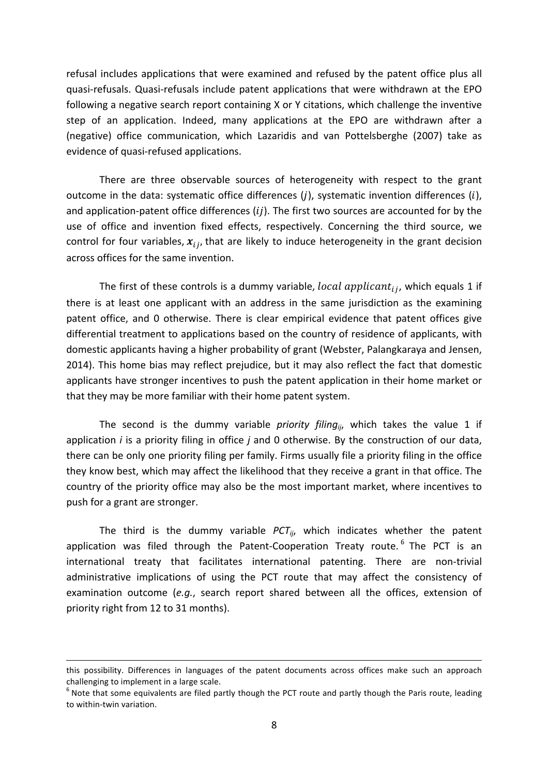refusal includes applications that were examined and refused by the patent office plus all quasi-refusals. Quasi-refusals include patent applications that were withdrawn at the EPO following a negative search report containing X or Y citations, which challenge the inventive step of an application. Indeed, many applications at the EPO are withdrawn after a (negative) office communication, which Lazaridis and van Pottelsberghe (2007) take as evidence of quasi-refused applications.

There are three observable sources of heterogeneity with respect to the grant outcome in the data: systematic office differences  $(j)$ , systematic invention differences  $(i)$ , and application-patent office differences  $(i)$ . The first two sources are accounted for by the use of office and invention fixed effects, respectively. Concerning the third source, we control for four variables,  $x_{ij}$ , that are likely to induce heterogeneity in the grant decision across offices for the same invention.

The first of these controls is a dummy variable,  $local$  applicant<sub>ii</sub>, which equals 1 if there is at least one applicant with an address in the same jurisdiction as the examining patent office, and 0 otherwise. There is clear empirical evidence that patent offices give differential treatment to applications based on the country of residence of applicants, with domestic applicants having a higher probability of grant (Webster, Palangkaraya and Jensen, 2014). This home bias may reflect prejudice, but it may also reflect the fact that domestic applicants have stronger incentives to push the patent application in their home market or that they may be more familiar with their home patent system.

The second is the dummy variable *priority filing<sub>ii</sub>*, which takes the value 1 if application *i* is a priority filing in office *j* and 0 otherwise. By the construction of our data, there can be only one priority filing per family. Firms usually file a priority filing in the office they know best, which may affect the likelihood that they receive a grant in that office. The country of the priority office may also be the most important market, where incentives to push for a grant are stronger.

The third is the dummy variable  $PCT_{ij}$ , which indicates whether the patent application was filed through the Patent-Cooperation Treaty route.<sup>6</sup> The PCT is an international treaty that facilitates international patenting. There are non-trivial administrative implications of using the PCT route that may affect the consistency of examination outcome (e.g., search report shared between all the offices, extension of priority right from 12 to 31 months).

<sup>&</sup>lt;u> 1989 - Andrea Santa Andrea Andrea Andrea Andrea Andrea Andrea Andrea Andrea Andrea Andrea Andrea Andrea Andr</u> this possibility. Differences in languages of the patent documents across offices make such an approach challenging to implement in a large scale.

 $6$  Note that some equivalents are filed partly though the PCT route and partly though the Paris route, leading to within-twin variation.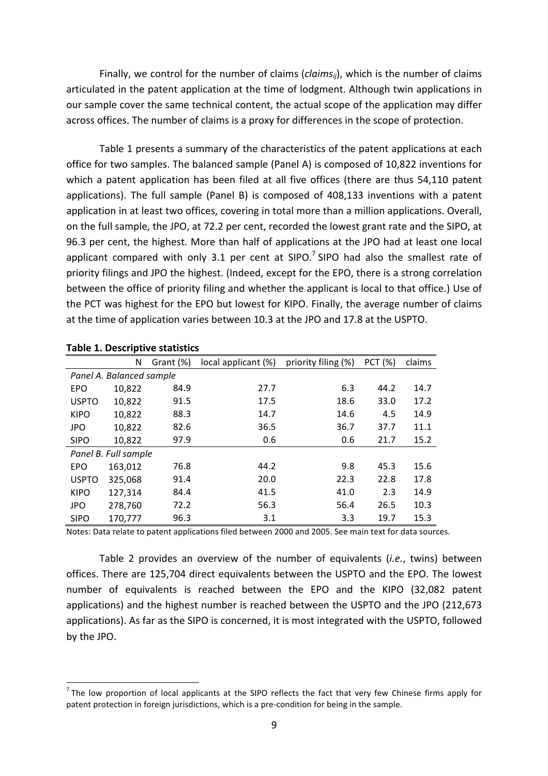Finally, we control for the number of claims (*claims<sub>ii</sub>*), which is the number of claims articulated in the patent application at the time of lodgment. Although twin applications in our sample cover the same technical content, the actual scope of the application may differ across offices. The number of claims is a proxy for differences in the scope of protection.

Table 1 presents a summary of the characteristics of the patent applications at each office for two samples. The balanced sample (Panel A) is composed of 10,822 inventions for which a patent application has been filed at all five offices (there are thus 54,110 patent applications). The full sample (Panel B) is composed of 408,133 inventions with a patent application in at least two offices, covering in total more than a million applications. Overall, on the full sample, the JPO, at 72.2 per cent, recorded the lowest grant rate and the SIPO, at 96.3 per cent, the highest. More than half of applications at the JPO had at least one local applicant compared with only 3.1 per cent at SIPO.<sup>7</sup> SIPO had also the smallest rate of priority filings and JPO the highest. (Indeed, except for the EPO, there is a strong correlation between the office of priority filing and whether the applicant is local to that office.) Use of the PCT was highest for the EPO but lowest for KIPO. Finally, the average number of claims at the time of application varies between 10.3 at the JPO and 17.8 at the USPTO.

| rable 1. Descriptive statistics |                          |           |                     |                     |                |        |  |  |
|---------------------------------|--------------------------|-----------|---------------------|---------------------|----------------|--------|--|--|
|                                 | N                        | Grant (%) | local applicant (%) | priority filing (%) | <b>PCT (%)</b> | claims |  |  |
|                                 | Panel A. Balanced sample |           |                     |                     |                |        |  |  |
| <b>EPO</b>                      | 10,822                   | 84.9      | 27.7                | 6.3                 | 44.2           | 14.7   |  |  |
| <b>USPTO</b>                    | 10,822                   | 91.5      | 17.5                | 18.6                | 33.0           | 17.2   |  |  |
| <b>KIPO</b>                     | 10,822                   | 88.3      | 14.7                | 14.6                | 4.5            | 14.9   |  |  |
| <b>JPO</b>                      | 10,822                   | 82.6      | 36.5                | 36.7                | 37.7           | 11.1   |  |  |
| <b>SIPO</b>                     | 10,822                   | 97.9      | 0.6                 | 0.6                 | 21.7           | 15.2   |  |  |
|                                 | Panel B. Full sample     |           |                     |                     |                |        |  |  |
| <b>EPO</b>                      | 163,012                  | 76.8      | 44.2                | 9.8                 | 45.3           | 15.6   |  |  |
| <b>USPTO</b>                    | 325,068                  | 91.4      | 20.0                | 22.3                | 22.8           | 17.8   |  |  |
| <b>KIPO</b>                     | 127,314                  | 84.4      | 41.5                | 41.0                | 2.3            | 14.9   |  |  |
| <b>JPO</b>                      | 278,760                  | 72.2      | 56.3                | 56.4                | 26.5           | 10.3   |  |  |
| <b>SIPO</b>                     | 170.777                  | 96.3      | 3.1                 | 3.3                 | 19.7           | 15.3   |  |  |

#### **Table 1. Descriptive statistics**

Notes: Data relate to patent applications filed between 2000 and 2005. See main text for data sources.

Table 2 provides an overview of the number of equivalents (*i.e.*, twins) between offices. There are 125,704 direct equivalents between the USPTO and the EPO. The lowest number of equivalents is reached between the EPO and the KIPO (32,082 patent applications) and the highest number is reached between the USPTO and the JPO (212,673 applications). As far as the SIPO is concerned, it is most integrated with the USPTO, followed by the JPO.

 $<sup>7</sup>$  The low proportion of local applicants at the SIPO reflects the fact that very few Chinese firms apply for</sup> patent protection in foreign jurisdictions, which is a pre-condition for being in the sample.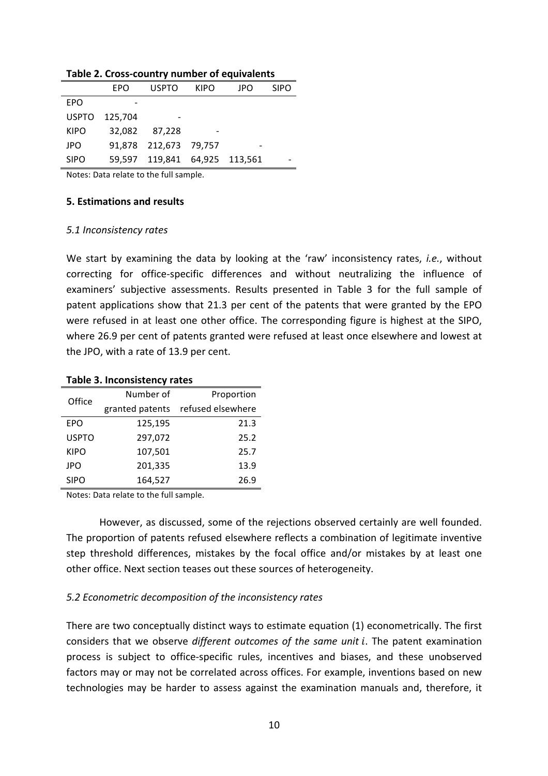|              | EPO     | <b>USPTO</b>           | <b>KIPO</b> | JPO | <b>SIPO</b> |
|--------------|---------|------------------------|-------------|-----|-------------|
| <b>EPO</b>   |         |                        |             |     |             |
| <b>USPTO</b> | 125,704 |                        |             |     |             |
| <b>KIPO</b>  | 32,082  | 87.228                 |             |     |             |
| JPO          |         | 91,878 212,673 79,757  |             |     |             |
| <b>SIPO</b>  | 59.597  | 119,841 64,925 113,561 |             |     |             |

#### Table 2. Cross-country number of equivalents

Notes: Data relate to the full sample.

## **5. Estimations and results**

#### *5.1 Inconsistency rates*

We start by examining the data by looking at the 'raw' inconsistency rates, *i.e.*, without correcting for office-specific differences and without neutralizing the influence of examiners' subjective assessments. Results presented in Table 3 for the full sample of patent applications show that 21.3 per cent of the patents that were granted by the EPO were refused in at least one other office. The corresponding figure is highest at the SIPO, where 26.9 per cent of patents granted were refused at least once elsewhere and lowest at the JPO, with a rate of 13.9 per cent.

## **Table 3. Inconsistency rates**

| Office       | Number of       | Proportion        |  |  |
|--------------|-----------------|-------------------|--|--|
|              | granted patents | refused elsewhere |  |  |
| EPO          | 125,195         | 21.3              |  |  |
| <b>USPTO</b> | 297,072         | 25.2              |  |  |
| <b>KIPO</b>  | 107,501         | 25.7              |  |  |
| <b>JPO</b>   | 201,335         | 13.9              |  |  |
| <b>SIPO</b>  | 164,527         | 26.9              |  |  |

Notes: Data relate to the full sample.

However, as discussed, some of the rejections observed certainly are well founded. The proportion of patents refused elsewhere reflects a combination of legitimate inventive step threshold differences, mistakes by the focal office and/or mistakes by at least one other office. Next section teases out these sources of heterogeneity.

## *5.2 Econometric decomposition of the inconsistency rates*

There are two conceptually distinct ways to estimate equation  $(1)$  econometrically. The first considers that we observe *different outcomes of the same unit i*. The patent examination process is subject to office-specific rules, incentives and biases, and these unobserved factors may or may not be correlated across offices. For example, inventions based on new technologies may be harder to assess against the examination manuals and, therefore, it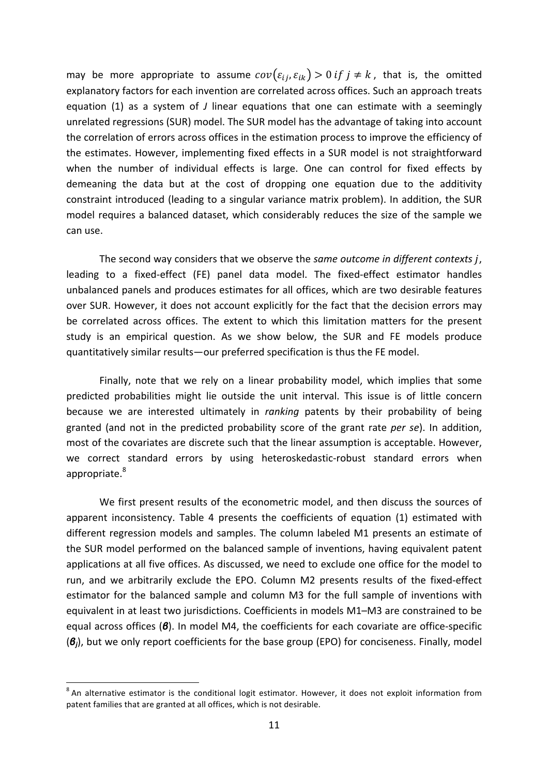may be more appropriate to assume  $cov(\varepsilon_{ii}, \varepsilon_{ik}) > 0$  if  $j \neq k$ , that is, the omitted explanatory factors for each invention are correlated across offices. Such an approach treats equation (1) as a system of *J* linear equations that one can estimate with a seemingly unrelated regressions (SUR) model. The SUR model has the advantage of taking into account the correlation of errors across offices in the estimation process to improve the efficiency of the estimates. However, implementing fixed effects in a SUR model is not straightforward when the number of individual effects is large. One can control for fixed effects by demeaning the data but at the cost of dropping one equation due to the additivity constraint introduced (leading to a singular variance matrix problem). In addition, the SUR model requires a balanced dataset, which considerably reduces the size of the sample we can use.

The second way considers that we observe the *same outcome in different contexts j*, leading to a fixed-effect (FE) panel data model. The fixed-effect estimator handles unbalanced panels and produces estimates for all offices, which are two desirable features over SUR. However, it does not account explicitly for the fact that the decision errors may be correlated across offices. The extent to which this limitation matters for the present study is an empirical question. As we show below, the SUR and FE models produce quantitatively similar results—our preferred specification is thus the FE model.

Finally, note that we rely on a linear probability model, which implies that some predicted probabilities might lie outside the unit interval. This issue is of little concern because we are interested ultimately in *ranking* patents by their probability of being granted (and not in the predicted probability score of the grant rate per se). In addition, most of the covariates are discrete such that the linear assumption is acceptable. However, we correct standard errors by using heteroskedastic-robust standard errors when appropriate.<sup>8</sup>

We first present results of the econometric model, and then discuss the sources of apparent inconsistency. Table 4 presents the coefficients of equation (1) estimated with different regression models and samples. The column labeled M1 presents an estimate of the SUR model performed on the balanced sample of inventions, having equivalent patent applications at all five offices. As discussed, we need to exclude one office for the model to run, and we arbitrarily exclude the EPO. Column M2 presents results of the fixed-effect estimator for the balanced sample and column M3 for the full sample of inventions with equivalent in at least two jurisdictions. Coefficients in models M1–M3 are constrained to be equal across offices (**β**). In model M4, the coefficients for each covariate are office-specific ( $\mathcal{B}_i$ ), but we only report coefficients for the base group (EPO) for conciseness. Finally, model

 $8$  An alternative estimator is the conditional logit estimator. However, it does not exploit information from patent families that are granted at all offices, which is not desirable.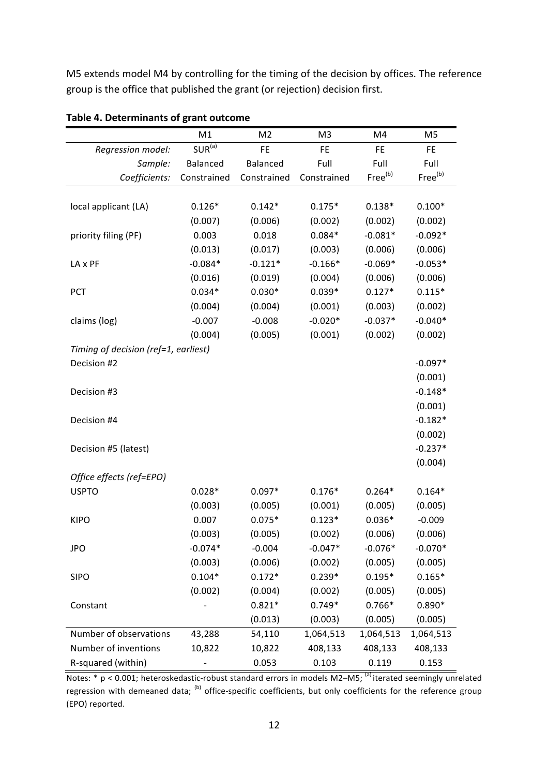M5 extends model M4 by controlling for the timing of the decision by offices. The reference group is the office that published the grant (or rejection) decision first.

|                                      | M1          | M <sub>2</sub> | M3          | M4                  | M5                  |
|--------------------------------------|-------------|----------------|-------------|---------------------|---------------------|
| Regression model:                    | $SUR^{(a)}$ | FE             | FE          | FE                  | FE.                 |
| Sample:                              | Balanced    | Balanced       | Full        | Full                | Full                |
| Coefficients:                        | Constrained | Constrained    | Constrained | Free <sup>(b)</sup> | Free <sup>(b)</sup> |
|                                      |             |                |             |                     |                     |
| local applicant (LA)                 | $0.126*$    | $0.142*$       | $0.175*$    | $0.138*$            | $0.100*$            |
|                                      | (0.007)     | (0.006)        | (0.002)     | (0.002)             | (0.002)             |
| priority filing (PF)                 | 0.003       | 0.018          | $0.084*$    | $-0.081*$           | $-0.092*$           |
|                                      | (0.013)     | (0.017)        | (0.003)     | (0.006)             | (0.006)             |
| LA x PF                              | $-0.084*$   | $-0.121*$      | $-0.166*$   | $-0.069*$           | $-0.053*$           |
|                                      | (0.016)     | (0.019)        | (0.004)     | (0.006)             | (0.006)             |
| PCT                                  | $0.034*$    | $0.030*$       | $0.039*$    | $0.127*$            | $0.115*$            |
|                                      | (0.004)     | (0.004)        | (0.001)     | (0.003)             | (0.002)             |
| claims (log)                         | $-0.007$    | $-0.008$       | $-0.020*$   | $-0.037*$           | $-0.040*$           |
|                                      | (0.004)     | (0.005)        | (0.001)     | (0.002)             | (0.002)             |
| Timing of decision (ref=1, earliest) |             |                |             |                     |                     |
| Decision #2                          |             |                |             |                     | $-0.097*$           |
|                                      |             |                |             |                     | (0.001)             |
| Decision #3                          |             |                |             |                     | $-0.148*$           |
|                                      |             |                |             |                     | (0.001)             |
| Decision #4                          |             |                |             |                     | $-0.182*$           |
|                                      |             |                |             |                     | (0.002)             |
| Decision #5 (latest)                 |             |                |             |                     | $-0.237*$           |
|                                      |             |                |             |                     | (0.004)             |
| Office effects (ref=EPO)             |             |                |             |                     |                     |
| <b>USPTO</b>                         | $0.028*$    | $0.097*$       | $0.176*$    | $0.264*$            | $0.164*$            |
|                                      | (0.003)     | (0.005)        | (0.001)     | (0.005)             | (0.005)             |
| <b>KIPO</b>                          | 0.007       | $0.075*$       | $0.123*$    | $0.036*$            | $-0.009$            |
|                                      | (0.003)     | (0.005)        | (0.002)     | (0.006)             | (0.006)             |
| <b>JPO</b>                           | $-0.074*$   | $-0.004$       | $-0.047*$   | $-0.076*$           | $-0.070*$           |
|                                      | (0.003)     | (0.006)        | (0.002)     | (0.005)             | (0.005)             |
| <b>SIPO</b>                          | $0.104*$    | $0.172*$       | $0.239*$    | $0.195*$            | $0.165*$            |
|                                      | (0.002)     | (0.004)        | (0.002)     | (0.005)             | (0.005)             |
| Constant                             |             | $0.821*$       | $0.749*$    | $0.766*$            | $0.890*$            |
|                                      |             | (0.013)        | (0.003)     | (0.005)             | (0.005)             |
| Number of observations               | 43,288      | 54,110         | 1,064,513   | 1,064,513           | 1,064,513           |
| Number of inventions                 | 10,822      | 10,822         | 408,133     | 408,133             | 408,133             |
| R-squared (within)                   |             | 0.053          | 0.103       | 0.119               | 0.153               |

# **Table 4. Determinants of grant outcome**

Notes:  $*$  p < 0.001; heteroskedastic-robust standard errors in models M2–M5; <sup>(a)</sup> iterated seemingly unrelated regression with demeaned data; (b) office-specific coefficients, but only coefficients for the reference group (EPO) reported.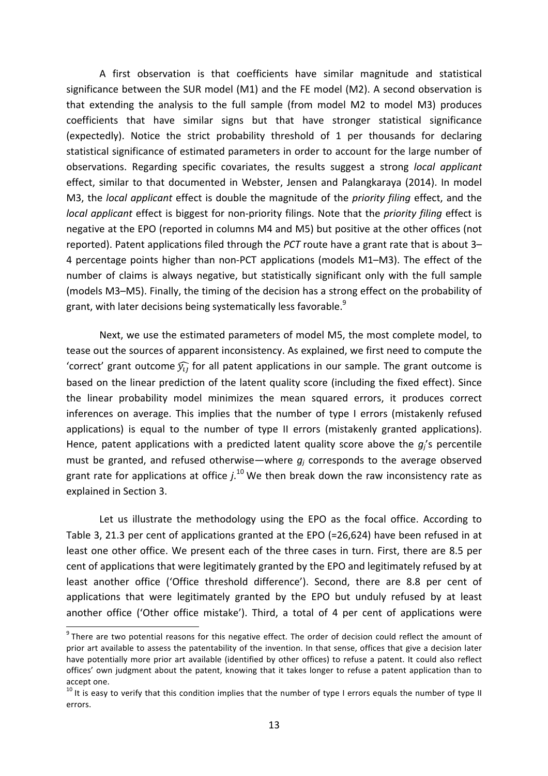A first observation is that coefficients have similar magnitude and statistical significance between the SUR model (M1) and the FE model (M2). A second observation is that extending the analysis to the full sample (from model M2 to model M3) produces coefficients that have similar signs but that have stronger statistical significance (expectedly). Notice the strict probability threshold of 1 per thousands for declaring statistical significance of estimated parameters in order to account for the large number of observations. Regarding specific covariates, the results suggest a strong *local applicant* effect, similar to that documented in Webster, Jensen and Palangkaraya (2014). In model M3, the *local applicant* effect is double the magnitude of the *priority filing* effect, and the *local applicant* effect is biggest for non-priority filings. Note that the *priority filing* effect is negative at the EPO (reported in columns M4 and M5) but positive at the other offices (not reported). Patent applications filed through the *PCT* route have a grant rate that is about 3– 4 percentage points higher than non-PCT applications (models M1–M3). The effect of the number of claims is always negative, but statistically significant only with the full sample (models M3–M5). Finally, the timing of the decision has a strong effect on the probability of grant, with later decisions being systematically less favorable. $^{9}$ 

Next, we use the estimated parameters of model M5, the most complete model, to tease out the sources of apparent inconsistency. As explained, we first need to compute the 'correct' grant outcome  $\widehat{y}_{ij}$  for all patent applications in our sample. The grant outcome is based on the linear prediction of the latent quality score (including the fixed effect). Since the linear probability model minimizes the mean squared errors, it produces correct inferences on average. This implies that the number of type I errors (mistakenly refused applications) is equal to the number of type II errors (mistakenly granted applications). Hence, patent applications with a predicted latent quality score above the  $q_i$ 's percentile must be granted, and refused otherwise—where  $q_i$  corresponds to the average observed grant rate for applications at office  $j$ .<sup>10</sup> We then break down the raw inconsistency rate as explained in Section 3.

Let us illustrate the methodology using the EPO as the focal office. According to Table 3, 21.3 per cent of applications granted at the EPO (=26,624) have been refused in at least one other office. We present each of the three cases in turn. First, there are 8.5 per cent of applications that were legitimately granted by the EPO and legitimately refused by at least another office ('Office threshold difference'). Second, there are 8.8 per cent of applications that were legitimately granted by the EPO but unduly refused by at least another office ('Other office mistake'). Third, a total of 4 per cent of applications were

 $9$  There are two potential reasons for this negative effect. The order of decision could reflect the amount of prior art available to assess the patentability of the invention. In that sense, offices that give a decision later have potentially more prior art available (identified by other offices) to refuse a patent. It could also reflect offices' own judgment about the patent, knowing that it takes longer to refuse a patent application than to accept one.

 $10$  It is easy to verify that this condition implies that the number of type I errors equals the number of type II errors.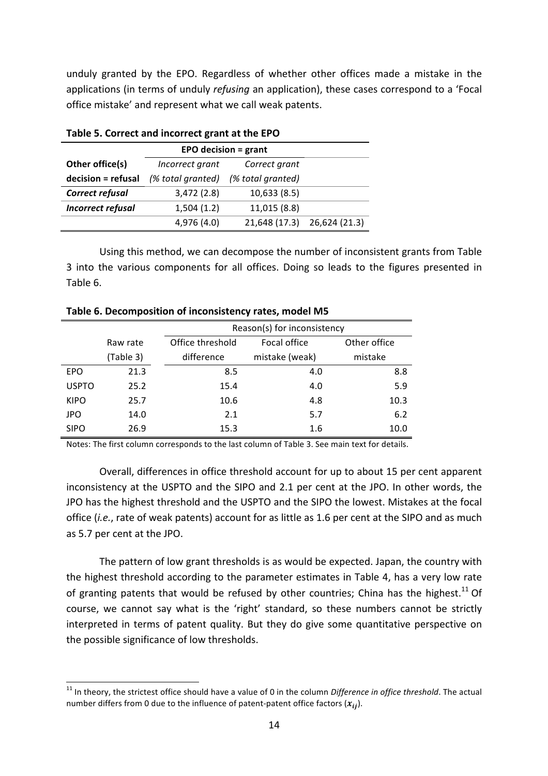unduly granted by the EPO. Regardless of whether other offices made a mistake in the applications (in terms of unduly *refusing* an application), these cases correspond to a 'Focal office mistake' and represent what we call weak patents.

|                          | EPO decision = $grant$ |                                  |               |  |  |  |
|--------------------------|------------------------|----------------------------------|---------------|--|--|--|
| Other office(s)          |                        | Incorrect grant<br>Correct grant |               |  |  |  |
| decision = refusal       | (% total granted)      | (% total granted)                |               |  |  |  |
| Correct refusal          | 3,472(2.8)             | 10,633 (8.5)                     |               |  |  |  |
| <b>Incorrect refusal</b> | 1,504(1.2)             | 11,015 (8.8)                     |               |  |  |  |
|                          | 4,976 (4.0)            | 21,648 (17.3)                    | 26,624 (21.3) |  |  |  |

**Table 5. Correct and incorrect grant at the EPO** 

Using this method, we can decompose the number of inconsistent grants from Table 3 into the various components for all offices. Doing so leads to the figures presented in Table 6.

|              |           | Reason(s) for inconsistency |                |              |  |  |
|--------------|-----------|-----------------------------|----------------|--------------|--|--|
|              | Raw rate  | Office threshold            | Focal office   | Other office |  |  |
|              | (Table 3) | difference                  | mistake (weak) | mistake      |  |  |
| <b>EPO</b>   | 21.3      | 8.5                         | 4.0            | 8.8          |  |  |
| <b>USPTO</b> | 25.2      | 15.4                        | 4.0            | 5.9          |  |  |
| <b>KIPO</b>  | 25.7      | 10.6                        | 4.8            | 10.3         |  |  |
| <b>JPO</b>   | 14.0      | 2.1                         | 5.7            | 6.2          |  |  |
| <b>SIPO</b>  | 26.9      | 15.3                        | 1.6            | 10.0         |  |  |

**Table 6. Decomposition of inconsistency rates, model M5** 

Notes: The first column corresponds to the last column of Table 3. See main text for details.

Overall, differences in office threshold account for up to about 15 per cent apparent inconsistency at the USPTO and the SIPO and 2.1 per cent at the JPO. In other words, the JPO has the highest threshold and the USPTO and the SIPO the lowest. Mistakes at the focal office (*i.e.*, rate of weak patents) account for as little as 1.6 per cent at the SIPO and as much as 5.7 per cent at the JPO.

The pattern of low grant thresholds is as would be expected. Japan, the country with the highest threshold according to the parameter estimates in Table 4, has a very low rate of granting patents that would be refused by other countries; China has the highest.<sup>11</sup> Of course, we cannot say what is the 'right' standard, so these numbers cannot be strictly interpreted in terms of patent quality. But they do give some quantitative perspective on the possible significance of low thresholds.

<sup>&</sup>lt;sup>11</sup> In theory, the strictest office should have a value of 0 in the column *Difference in office threshold*. The actual number differs from 0 due to the influence of patent-patent office factors  $(x_{ij})$ .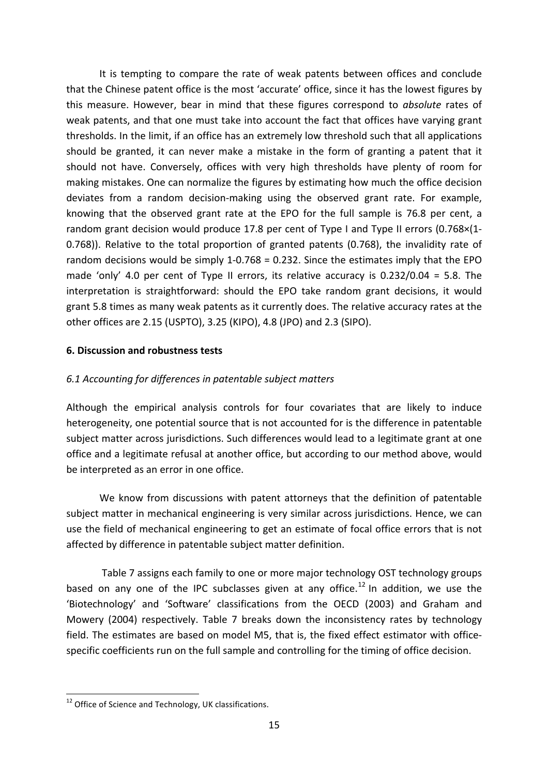It is tempting to compare the rate of weak patents between offices and conclude that the Chinese patent office is the most 'accurate' office, since it has the lowest figures by this measure. However, bear in mind that these figures correspond to *absolute* rates of weak patents, and that one must take into account the fact that offices have varying grant thresholds. In the limit, if an office has an extremely low threshold such that all applications should be granted, it can never make a mistake in the form of granting a patent that it should not have. Conversely, offices with very high thresholds have plenty of room for making mistakes. One can normalize the figures by estimating how much the office decision deviates from a random decision-making using the observed grant rate. For example, knowing that the observed grant rate at the EPO for the full sample is 76.8 per cent, a random grant decision would produce 17.8 per cent of Type I and Type II errors  $(0.768\times11)$ 0.768)). Relative to the total proportion of granted patents (0.768), the invalidity rate of random decisions would be simply  $1-0.768 = 0.232$ . Since the estimates imply that the EPO made 'only' 4.0 per cent of Type II errors, its relative accuracy is  $0.232/0.04 = 5.8$ . The interpretation is straightforward: should the EPO take random grant decisions, it would grant 5.8 times as many weak patents as it currently does. The relative accuracy rates at the other offices are 2.15 (USPTO), 3.25 (KIPO), 4.8 (JPO) and 2.3 (SIPO).

# **6. Discussion and robustness tests**

# *6.1 Accounting for differences in patentable subject matters*

Although the empirical analysis controls for four covariates that are likely to induce heterogeneity, one potential source that is not accounted for is the difference in patentable subject matter across jurisdictions. Such differences would lead to a legitimate grant at one office and a legitimate refusal at another office, but according to our method above, would be interpreted as an error in one office.

We know from discussions with patent attorneys that the definition of patentable subject matter in mechanical engineering is very similar across jurisdictions. Hence, we can use the field of mechanical engineering to get an estimate of focal office errors that is not affected by difference in patentable subject matter definition.

Table 7 assigns each family to one or more major technology OST technology groups based on any one of the IPC subclasses given at any office.<sup>12</sup> In addition, we use the 'Biotechnology' and 'Software' classifications from the OECD (2003) and Graham and Mowery (2004) respectively. Table 7 breaks down the inconsistency rates by technology field. The estimates are based on model M5, that is, the fixed effect estimator with officespecific coefficients run on the full sample and controlling for the timing of office decision.

 $12$  Office of Science and Technology, UK classifications.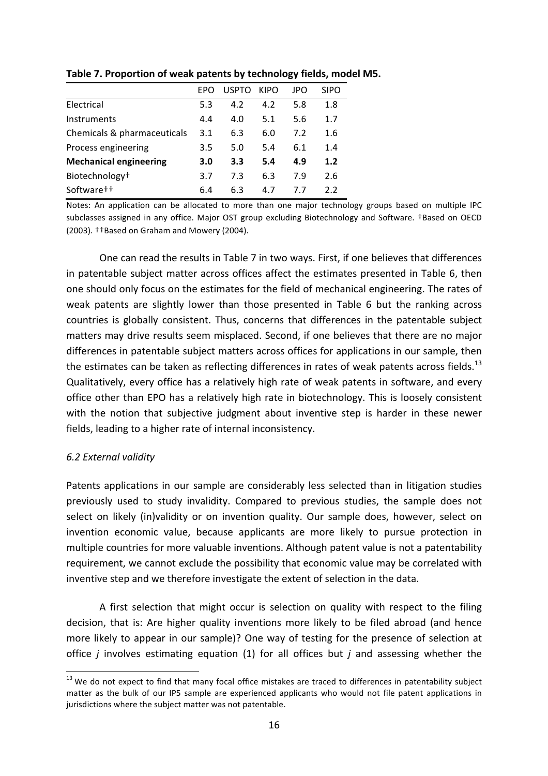|                               | <b>FPO</b> | <b>USPTO</b> | <b>KIPO</b> | JPO | SIPO |
|-------------------------------|------------|--------------|-------------|-----|------|
| Electrical                    | 5.3        | 4.2          | 4.2         | 5.8 | 1.8  |
| Instruments                   | 4.4        | 4.0          | 5.1         | 5.6 | 1.7  |
| Chemicals & pharmaceuticals   | 3.1        | 6.3          | 6.0         | 7.2 | 1.6  |
| Process engineering           | 3.5        | 5.0          | 5.4         | 6.1 | 1.4  |
| <b>Mechanical engineering</b> | 3.0        | 3.3          | 5.4         | 4.9 | 1.2  |
| Biotechnology <sup>+</sup>    | 3.7        | 7.3          | 6.3         | 7.9 | 2.6  |

Software†† 6.4 6.3 4.7 7.7 2.2

Table 7. Proportion of weak patents by technology fields, model M5.

Notes: An application can be allocated to more than one major technology groups based on multiple IPC subclasses assigned in any office. Major OST group excluding Biotechnology and Software. †Based on OECD (2003). ††Based on Graham and Mowery (2004).

One can read the results in Table 7 in two ways. First, if one believes that differences in patentable subject matter across offices affect the estimates presented in Table 6, then one should only focus on the estimates for the field of mechanical engineering. The rates of weak patents are slightly lower than those presented in Table 6 but the ranking across countries is globally consistent. Thus, concerns that differences in the patentable subject matters may drive results seem misplaced. Second, if one believes that there are no major differences in patentable subject matters across offices for applications in our sample, then the estimates can be taken as reflecting differences in rates of weak patents across fields.<sup>13</sup> Qualitatively, every office has a relatively high rate of weak patents in software, and every office other than EPO has a relatively high rate in biotechnology. This is loosely consistent with the notion that subjective judgment about inventive step is harder in these newer fields, leading to a higher rate of internal inconsistency.

# *6.2 External validity*

Patents applications in our sample are considerably less selected than in litigation studies previously used to study invalidity. Compared to previous studies, the sample does not select on likely (in)validity or on invention quality. Our sample does, however, select on invention economic value, because applicants are more likely to pursue protection in multiple countries for more valuable inventions. Although patent value is not a patentability requirement, we cannot exclude the possibility that economic value may be correlated with inventive step and we therefore investigate the extent of selection in the data.

A first selection that might occur is selection on quality with respect to the filing decision, that is: Are higher quality inventions more likely to be filed abroad (and hence more likely to appear in our sample)? One way of testing for the presence of selection at office *j* involves estimating equation (1) for all offices but  $j$  and assessing whether the

 $13$  We do not expect to find that many focal office mistakes are traced to differences in patentability subject matter as the bulk of our IP5 sample are experienced applicants who would not file patent applications in jurisdictions where the subject matter was not patentable.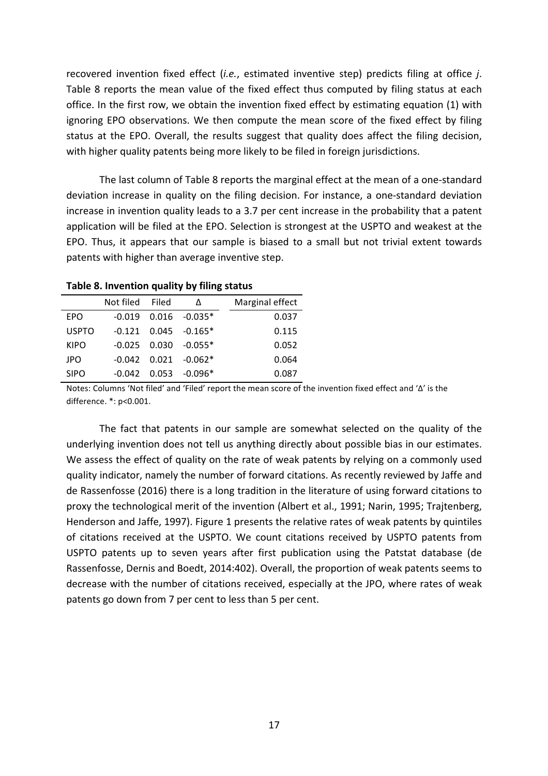recovered invention fixed effect (*i.e.*, estimated inventive step) predicts filing at office *j*. Table 8 reports the mean value of the fixed effect thus computed by filing status at each office. In the first row, we obtain the invention fixed effect by estimating equation (1) with ignoring EPO observations. We then compute the mean score of the fixed effect by filing status at the EPO. Overall, the results suggest that quality does affect the filing decision, with higher quality patents being more likely to be filed in foreign jurisdictions.

The last column of Table 8 reports the marginal effect at the mean of a one-standard deviation increase in quality on the filing decision. For instance, a one-standard deviation increase in invention quality leads to a 3.7 per cent increase in the probability that a patent application will be filed at the EPO. Selection is strongest at the USPTO and weakest at the EPO. Thus, it appears that our sample is biased to a small but not trivial extent towards patents with higher than average inventive step.

|              | Not filed Filed | Δ                          | Marginal effect |
|--------------|-----------------|----------------------------|-----------------|
| <b>EPO</b>   | -0.019          | $0.016 - 0.035*$           | 0.037           |
| <b>USPTO</b> |                 | $-0.121$ $0.045$ $-0.165*$ | 0.115           |
| <b>KIPO</b>  |                 | $-0.025$ 0.030 $-0.055*$   | 0.052           |
| <b>JPO</b>   |                 | $-0.042$ $0.021$ $-0.062*$ | 0.064           |
| <b>SIPO</b>  | $-0.042$        | $0.053 - 0.096*$           | 0.087           |

**Table 8. Invention quality by filing status** 

Notes: Columns 'Not filed' and 'Filed' report the mean score of the invention fixed effect and ' $\Delta$ ' is the difference. \*: p<0.001.

The fact that patents in our sample are somewhat selected on the quality of the underlying invention does not tell us anything directly about possible bias in our estimates. We assess the effect of quality on the rate of weak patents by relying on a commonly used quality indicator, namely the number of forward citations. As recently reviewed by Jaffe and de Rassenfosse (2016) there is a long tradition in the literature of using forward citations to proxy the technological merit of the invention (Albert et al., 1991; Narin, 1995; Trajtenberg, Henderson and Jaffe, 1997). Figure 1 presents the relative rates of weak patents by quintiles of citations received at the USPTO. We count citations received by USPTO patents from USPTO patents up to seven years after first publication using the Patstat database (de Rassenfosse, Dernis and Boedt, 2014:402). Overall, the proportion of weak patents seems to decrease with the number of citations received, especially at the JPO, where rates of weak patents go down from 7 per cent to less than 5 per cent.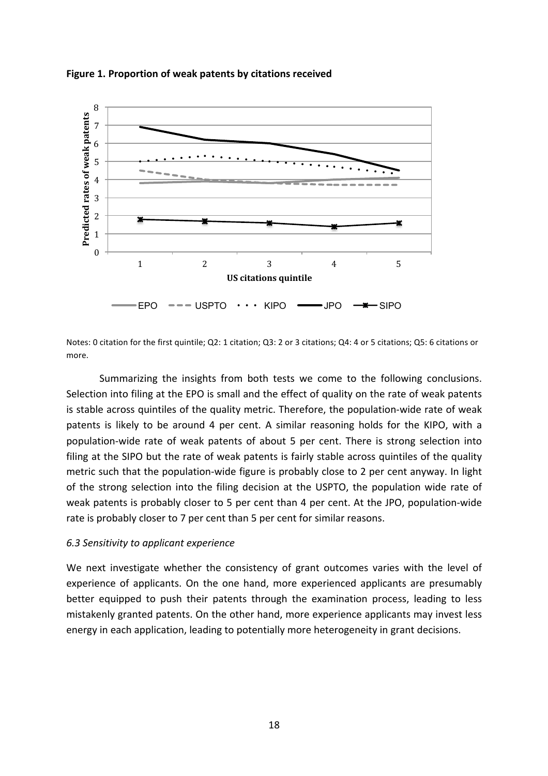

Figure 1. Proportion of weak patents by citations received

Notes: 0 citation for the first quintile; Q2: 1 citation; Q3: 2 or 3 citations; Q4: 4 or 5 citations; Q5: 6 citations or more.

Summarizing the insights from both tests we come to the following conclusions. Selection into filing at the EPO is small and the effect of quality on the rate of weak patents is stable across quintiles of the quality metric. Therefore, the population-wide rate of weak patents is likely to be around 4 per cent. A similar reasoning holds for the KIPO, with a population-wide rate of weak patents of about 5 per cent. There is strong selection into filing at the SIPO but the rate of weak patents is fairly stable across quintiles of the quality metric such that the population-wide figure is probably close to 2 per cent anyway. In light of the strong selection into the filing decision at the USPTO, the population wide rate of weak patents is probably closer to 5 per cent than 4 per cent. At the JPO, population-wide rate is probably closer to 7 per cent than 5 per cent for similar reasons.

## *6.3 Sensitivity to applicant experience*

We next investigate whether the consistency of grant outcomes varies with the level of experience of applicants. On the one hand, more experienced applicants are presumably better equipped to push their patents through the examination process, leading to less mistakenly granted patents. On the other hand, more experience applicants may invest less energy in each application, leading to potentially more heterogeneity in grant decisions.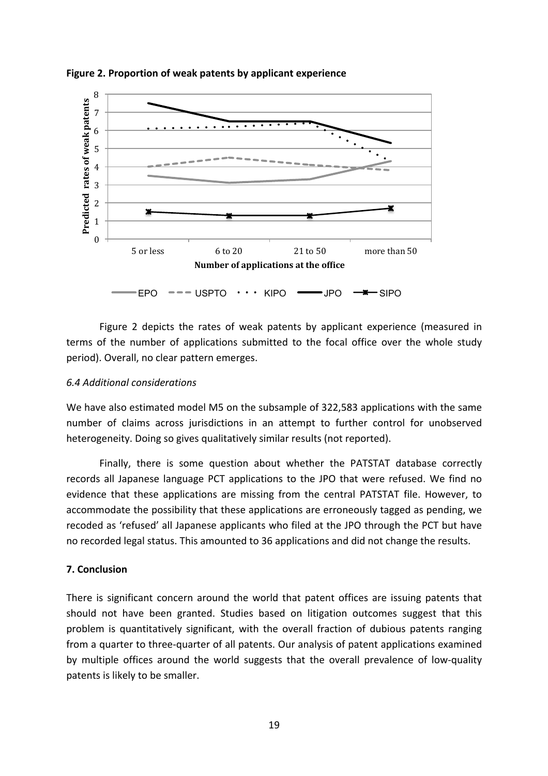

**Figure 2. Proportion of weak patents by applicant experience** 

Figure 2 depicts the rates of weak patents by applicant experience (measured in terms of the number of applications submitted to the focal office over the whole study period). Overall, no clear pattern emerges.

# *6.4 Additional considerations*

We have also estimated model M5 on the subsample of 322,583 applications with the same number of claims across jurisdictions in an attempt to further control for unobserved heterogeneity. Doing so gives qualitatively similar results (not reported).

Finally, there is some question about whether the PATSTAT database correctly records all Japanese language PCT applications to the JPO that were refused. We find no evidence that these applications are missing from the central PATSTAT file. However, to accommodate the possibility that these applications are erroneously tagged as pending, we recoded as 'refused' all Japanese applicants who filed at the JPO through the PCT but have no recorded legal status. This amounted to 36 applications and did not change the results.

# **7. Conclusion**

There is significant concern around the world that patent offices are issuing patents that should not have been granted. Studies based on litigation outcomes suggest that this problem is quantitatively significant, with the overall fraction of dubious patents ranging from a quarter to three-quarter of all patents. Our analysis of patent applications examined by multiple offices around the world suggests that the overall prevalence of low-quality patents is likely to be smaller.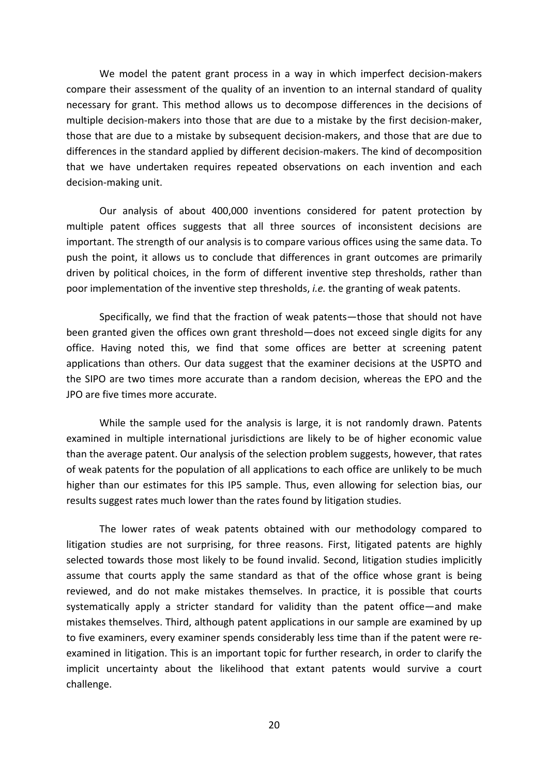We model the patent grant process in a way in which imperfect decision-makers compare their assessment of the quality of an invention to an internal standard of quality necessary for grant. This method allows us to decompose differences in the decisions of multiple decision-makers into those that are due to a mistake by the first decision-maker, those that are due to a mistake by subsequent decision-makers, and those that are due to differences in the standard applied by different decision-makers. The kind of decomposition that we have undertaken requires repeated observations on each invention and each decision-making unit.

Our analysis of about 400,000 inventions considered for patent protection by multiple patent offices suggests that all three sources of inconsistent decisions are important. The strength of our analysis is to compare various offices using the same data. To push the point, it allows us to conclude that differences in grant outcomes are primarily driven by political choices, in the form of different inventive step thresholds, rather than poor implementation of the inventive step thresholds, *i.e.* the granting of weak patents.

Specifically, we find that the fraction of weak patents—those that should not have been granted given the offices own grant threshold—does not exceed single digits for any office. Having noted this, we find that some offices are better at screening patent applications than others. Our data suggest that the examiner decisions at the USPTO and the SIPO are two times more accurate than a random decision, whereas the EPO and the JPO are five times more accurate.

While the sample used for the analysis is large, it is not randomly drawn. Patents examined in multiple international jurisdictions are likely to be of higher economic value than the average patent. Our analysis of the selection problem suggests, however, that rates of weak patents for the population of all applications to each office are unlikely to be much higher than our estimates for this IP5 sample. Thus, even allowing for selection bias, our results suggest rates much lower than the rates found by litigation studies.

The lower rates of weak patents obtained with our methodology compared to litigation studies are not surprising, for three reasons. First, litigated patents are highly selected towards those most likely to be found invalid. Second, litigation studies implicitly assume that courts apply the same standard as that of the office whose grant is being reviewed, and do not make mistakes themselves. In practice, it is possible that courts systematically apply a stricter standard for validity than the patent office—and make mistakes themselves. Third, although patent applications in our sample are examined by up to five examiners, every examiner spends considerably less time than if the patent were reexamined in litigation. This is an important topic for further research, in order to clarify the implicit uncertainty about the likelihood that extant patents would survive a court challenge.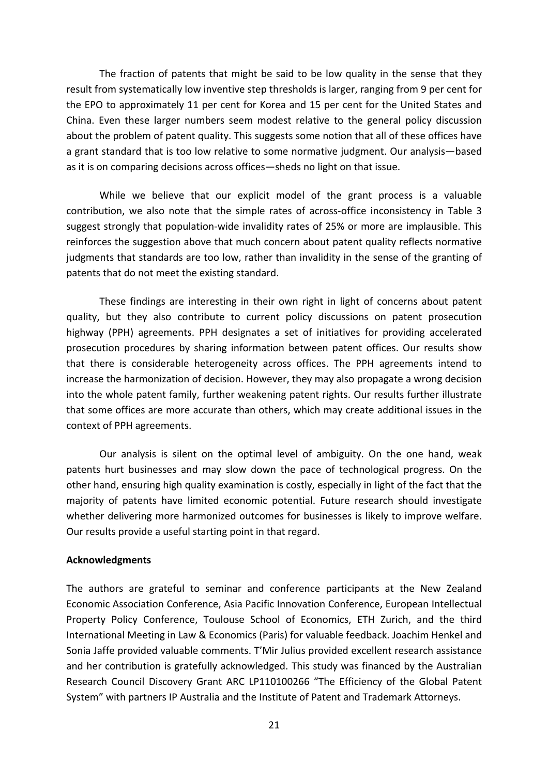The fraction of patents that might be said to be low quality in the sense that they result from systematically low inventive step thresholds is larger, ranging from 9 per cent for the EPO to approximately 11 per cent for Korea and 15 per cent for the United States and China. Even these larger numbers seem modest relative to the general policy discussion about the problem of patent quality. This suggests some notion that all of these offices have a grant standard that is too low relative to some normative judgment. Our analysis—based as it is on comparing decisions across offices—sheds no light on that issue.

While we believe that our explicit model of the grant process is a valuable contribution, we also note that the simple rates of across-office inconsistency in Table 3 suggest strongly that population-wide invalidity rates of 25% or more are implausible. This reinforces the suggestion above that much concern about patent quality reflects normative judgments that standards are too low, rather than invalidity in the sense of the granting of patents that do not meet the existing standard.

These findings are interesting in their own right in light of concerns about patent quality, but they also contribute to current policy discussions on patent prosecution highway (PPH) agreements. PPH designates a set of initiatives for providing accelerated prosecution procedures by sharing information between patent offices. Our results show that there is considerable heterogeneity across offices. The PPH agreements intend to increase the harmonization of decision. However, they may also propagate a wrong decision into the whole patent family, further weakening patent rights. Our results further illustrate that some offices are more accurate than others, which may create additional issues in the context of PPH agreements.

Our analysis is silent on the optimal level of ambiguity. On the one hand, weak patents hurt businesses and may slow down the pace of technological progress. On the other hand, ensuring high quality examination is costly, especially in light of the fact that the majority of patents have limited economic potential. Future research should investigate whether delivering more harmonized outcomes for businesses is likely to improve welfare. Our results provide a useful starting point in that regard.

## **Acknowledgments**

The authors are grateful to seminar and conference participants at the New Zealand Economic Association Conference, Asia Pacific Innovation Conference, European Intellectual Property Policy Conference, Toulouse School of Economics, ETH Zurich, and the third International Meeting in Law & Economics (Paris) for valuable feedback. Joachim Henkel and Sonia Jaffe provided valuable comments. T'Mir Julius provided excellent research assistance and her contribution is gratefully acknowledged. This study was financed by the Australian Research Council Discovery Grant ARC LP110100266 "The Efficiency of the Global Patent System" with partners IP Australia and the Institute of Patent and Trademark Attorneys.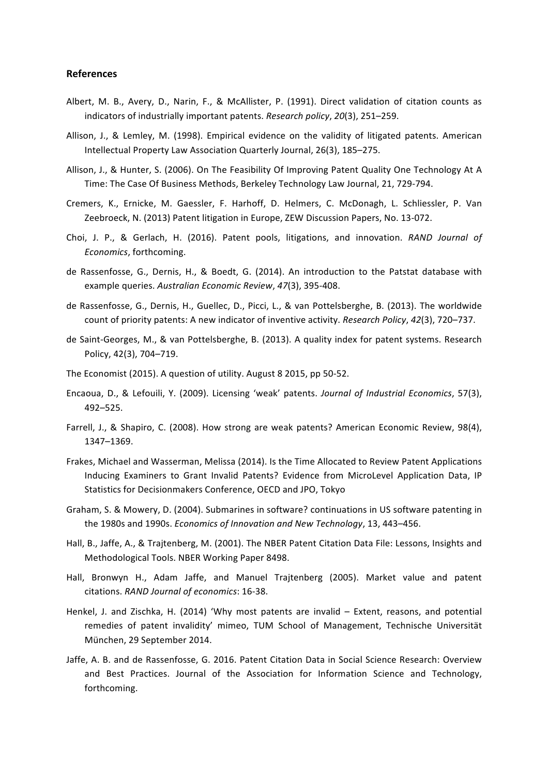#### **References**

- Albert, M. B., Avery, D., Narin, F., & McAllister, P. (1991). Direct validation of citation counts as indicators of industrially important patents. *Research policy*, 20(3), 251–259.
- Allison, J., & Lemley, M. (1998). Empirical evidence on the validity of litigated patents. American Intellectual Property Law Association Quarterly Journal, 26(3), 185-275.
- Allison, J., & Hunter, S. (2006). On The Feasibility Of Improving Patent Quality One Technology At A Time: The Case Of Business Methods, Berkeley Technology Law Journal, 21, 729-794.
- Cremers, K., Ernicke, M. Gaessler, F. Harhoff, D. Helmers, C. McDonagh, L. Schliessler, P. Van Zeebroeck, N. (2013) Patent litigation in Europe, ZEW Discussion Papers, No. 13-072.
- Choi, J. P., & Gerlach, H. (2016). Patent pools, litigations, and innovation. *RAND Journal of Economics*, forthcoming.
- de Rassenfosse, G., Dernis, H., & Boedt, G. (2014). An introduction to the Patstat database with example queries. Australian Economic Review, 47(3), 395-408.
- de Rassenfosse, G., Dernis, H., Guellec, D., Picci, L., & van Pottelsberghe, B. (2013). The worldwide count of priority patents: A new indicator of inventive activity. *Research Policy*, 42(3), 720–737.
- de Saint-Georges, M., & van Pottelsberghe, B. (2013). A quality index for patent systems. Research Policy, 42(3), 704-719.
- The Economist (2015). A question of utility. August 8 2015, pp 50-52.
- Encaoua, D., & Lefouili, Y. (2009). Licensing 'weak' patents. *Journal of Industrial Economics*, 57(3), 492–525.
- Farrell, J., & Shapiro, C. (2008). How strong are weak patents? American Economic Review, 98(4), 1347–1369.
- Frakes, Michael and Wasserman, Melissa (2014). Is the Time Allocated to Review Patent Applications Inducing Examiners to Grant Invalid Patents? Evidence from MicroLevel Application Data, IP Statistics for Decisionmakers Conference, OECD and JPO, Tokyo
- Graham, S. & Mowery, D. (2004). Submarines in software? continuations in US software patenting in the 1980s and 1990s. *Economics of Innovation and New Technology*, 13, 443-456.
- Hall, B., Jaffe, A., & Trajtenberg, M. (2001). The NBER Patent Citation Data File: Lessons, Insights and Methodological Tools. NBER Working Paper 8498.
- Hall, Bronwyn H., Adam Jaffe, and Manuel Trajtenberg (2005). Market value and patent citations. *RAND Journal of economics*: 16-38.
- Henkel, J. and Zischka, H. (2014) 'Why most patents are invalid Extent, reasons, and potential remedies of patent invalidity' mimeo, TUM School of Management, Technische Universität München, 29 September 2014.
- Jaffe, A. B. and de Rassenfosse, G. 2016. Patent Citation Data in Social Science Research: Overview and Best Practices. Journal of the Association for Information Science and Technology, forthcoming.